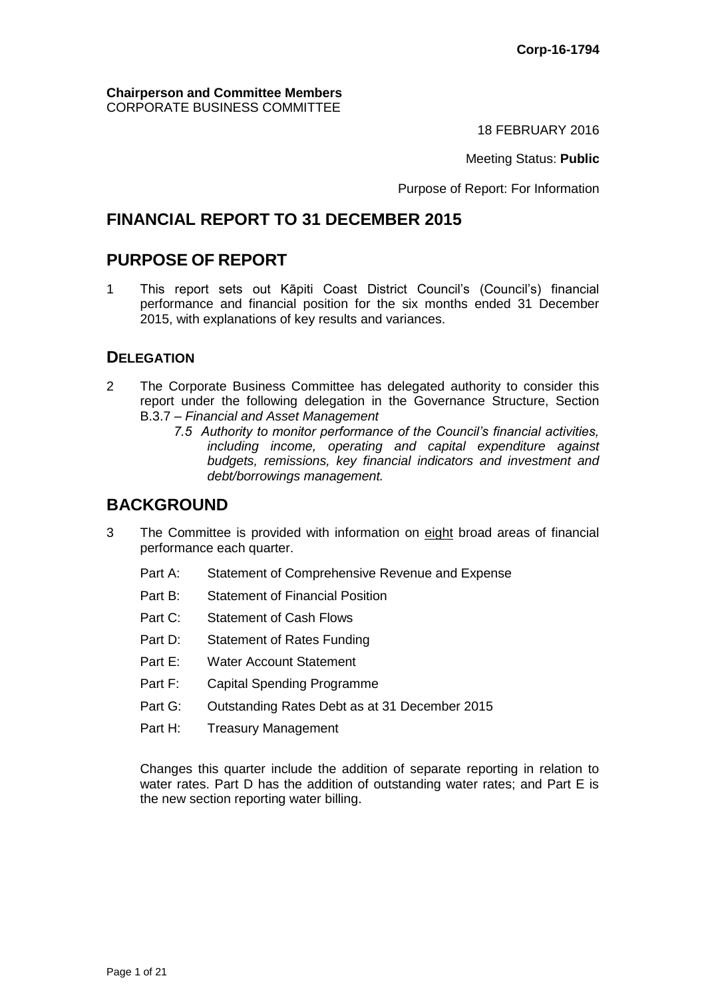#### **Chairperson and Committee Members** CORPORATE BUSINESS COMMITTEE

18 FEBRUARY 2016

Meeting Status: **Public**

Purpose of Report: For Information

# **FINANCIAL REPORT TO 31 DECEMBER 2015**

# **PURPOSE OF REPORT**

1 This report sets out Kāpiti Coast District Council's (Council's) financial performance and financial position for the six months ended 31 December 2015, with explanations of key results and variances.

### **DELEGATION**

- 2 The Corporate Business Committee has delegated authority to consider this report under the following delegation in the Governance Structure, Section B.3.7 – *Financial and Asset Management*
	- *7.5 Authority to monitor performance of the Council's financial activities, including income, operating and capital expenditure against budgets, remissions, key financial indicators and investment and debt/borrowings management.*

# **BACKGROUND**

- 3 The Committee is provided with information on eight broad areas of financial performance each quarter.
	- Part A: Statement of Comprehensive Revenue and Expense
	- Part B: Statement of Financial Position
	- Part C: Statement of Cash Flows
	- Part D: Statement of Rates Funding
	- Part E: Water Account Statement
	- Part F: Capital Spending Programme
	- Part G: Outstanding Rates Debt as at 31 December 2015
	- Part H: Treasury Management

Changes this quarter include the addition of separate reporting in relation to water rates. Part D has the addition of outstanding water rates; and Part E is the new section reporting water billing.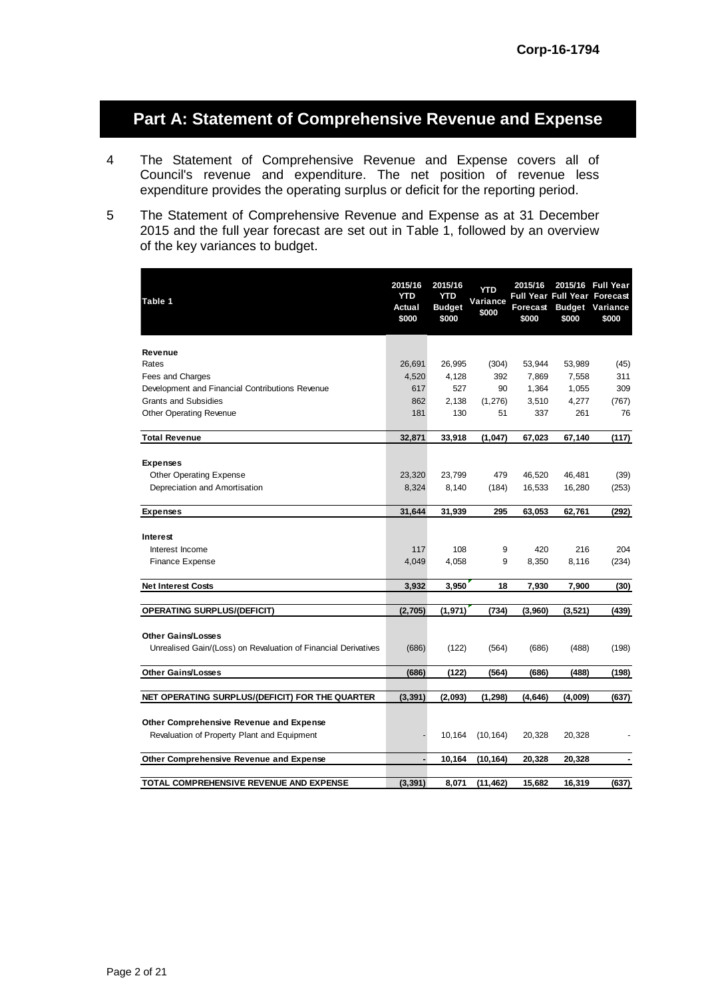# **Part A: Statement of Comprehensive Revenue and Expense**

- 4 The Statement of Comprehensive Revenue and Expense covers all of Council's revenue and expenditure. The net position of revenue less expenditure provides the operating surplus or deficit for the reporting period.
- 5 The Statement of Comprehensive Revenue and Expense as at 31 December 2015 and the full year forecast are set out in Table 1, followed by an overview of the key variances to budget.

| Table 1                                                        | 2015/16<br><b>YTD</b><br>Actual<br>\$000 | 2015/16<br><b>YTD</b><br><b>Budget</b><br>\$000 | YTD<br>Variance<br>\$000 | 2015/16<br>Forecast<br>\$000 | <b>Full Year Full Year Forecast</b><br>\$000 | 2015/16 Full Year<br><b>Budget Variance</b><br>\$000 |
|----------------------------------------------------------------|------------------------------------------|-------------------------------------------------|--------------------------|------------------------------|----------------------------------------------|------------------------------------------------------|
| Revenue                                                        |                                          |                                                 |                          |                              |                                              |                                                      |
| Rates                                                          | 26,691                                   | 26,995                                          | (304)                    | 53,944                       | 53,989                                       | (45)                                                 |
| Fees and Charges                                               | 4,520                                    | 4,128                                           | 392                      | 7,869                        | 7,558                                        | 311                                                  |
| Development and Financial Contributions Revenue                | 617                                      | 527                                             | 90                       | 1,364                        | 1,055                                        | 309                                                  |
| <b>Grants and Subsidies</b>                                    | 862                                      | 2,138                                           | (1, 276)                 | 3,510                        | 4,277                                        | (767)                                                |
| Other Operating Revenue                                        | 181                                      | 130                                             | 51                       | 337                          | 261                                          | 76                                                   |
| <b>Total Revenue</b>                                           | 32,871                                   | 33,918                                          | (1,047)                  | 67,023                       | 67,140                                       | (117)                                                |
| <b>Expenses</b>                                                |                                          |                                                 |                          |                              |                                              |                                                      |
| <b>Other Operating Expense</b>                                 | 23,320                                   | 23,799                                          | 479                      | 46,520                       | 46,481                                       | (39)                                                 |
| Depreciation and Amortisation                                  | 8,324                                    | 8,140                                           | (184)                    | 16,533                       | 16,280                                       | (253)                                                |
| <b>Expenses</b>                                                | 31,644                                   | 31,939                                          | 295                      | 63,053                       | 62,761                                       | (292)                                                |
| Interest                                                       |                                          |                                                 |                          |                              |                                              |                                                      |
| Interest Income                                                | 117                                      | 108                                             | 9                        | 420                          | 216                                          | 204                                                  |
| <b>Finance Expense</b>                                         | 4,049                                    | 4,058                                           | 9                        | 8,350                        | 8,116                                        | (234)                                                |
| <b>Net Interest Costs</b>                                      | 3,932                                    | 3,950                                           | 18                       | 7,930                        | 7,900                                        | (30)                                                 |
| <b>OPERATING SURPLUS/(DEFICIT)</b>                             | (2,705)                                  | (1,971)                                         | (734)                    | (3,960)                      | (3,521)                                      | (439)                                                |
| <b>Other Gains/Losses</b>                                      |                                          |                                                 |                          |                              |                                              |                                                      |
| Unrealised Gain/(Loss) on Revaluation of Financial Derivatives | (686)                                    | (122)                                           | (564)                    | (686)                        | (488)                                        | (198)                                                |
| <b>Other Gains/Losses</b>                                      | (686)                                    | (122)                                           | (564)                    | (686)                        | (488)                                        | (198)                                                |
| NET OPERATING SURPLUS/(DEFICIT) FOR THE QUARTER                | (3, 391)                                 | (2,093)                                         | (1, 298)                 | (4, 646)                     | (4,009)                                      | (637)                                                |
| Other Comprehensive Revenue and Expense                        |                                          |                                                 |                          |                              |                                              |                                                      |
| Revaluation of Property Plant and Equipment                    |                                          | 10,164                                          | (10, 164)                | 20,328                       | 20,328                                       |                                                      |
| Other Comprehensive Revenue and Expense                        | ä,                                       | 10,164                                          | (10, 164)                | 20,328                       | 20,328                                       |                                                      |
|                                                                |                                          |                                                 |                          |                              |                                              |                                                      |
| TOTAL COMPREHENSIVE REVENUE AND EXPENSE                        | (3, 391)                                 | 8,071                                           | (11,462)                 | 15,682                       | 16,319                                       | (637)                                                |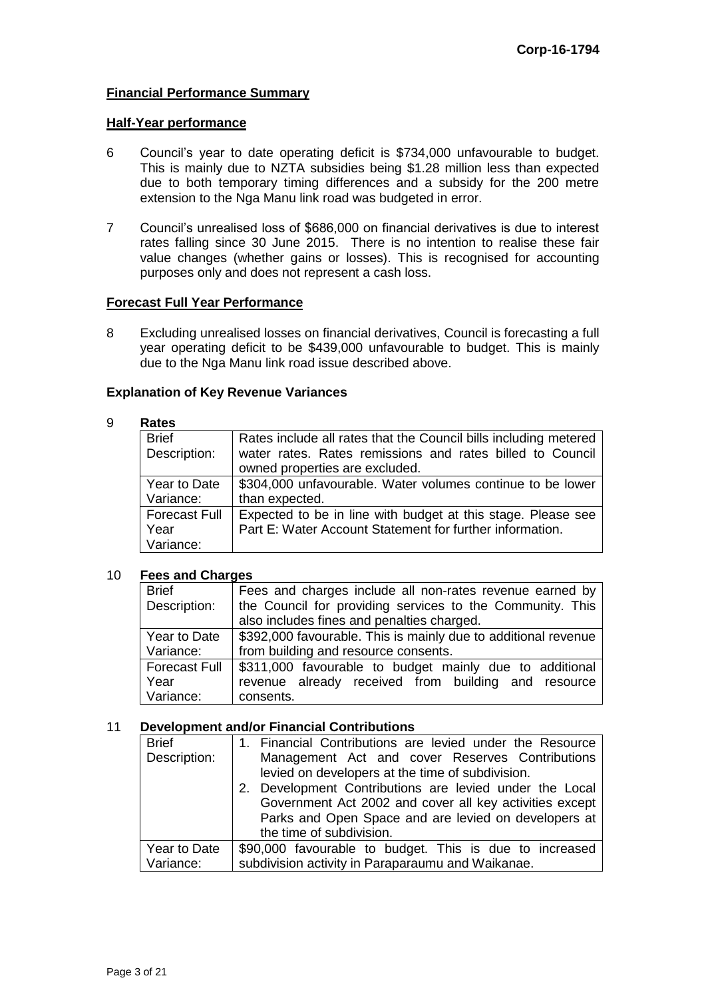#### **Financial Performance Summary**

#### **Half-Year performance**

- 6 Council's year to date operating deficit is \$734,000 unfavourable to budget. This is mainly due to NZTA subsidies being \$1.28 million less than expected due to both temporary timing differences and a subsidy for the 200 metre extension to the Nga Manu link road was budgeted in error.
- 7 Council's unrealised loss of \$686,000 on financial derivatives is due to interest rates falling since 30 June 2015. There is no intention to realise these fair value changes (whether gains or losses). This is recognised for accounting purposes only and does not represent a cash loss.

#### **Forecast Full Year Performance**

8 Excluding unrealised losses on financial derivatives, Council is forecasting a full year operating deficit to be \$439,000 unfavourable to budget. This is mainly due to the Nga Manu link road issue described above.

#### **Explanation of Key Revenue Variances**

#### 9 **Rates**

| .                    |                                                                  |
|----------------------|------------------------------------------------------------------|
| <b>Brief</b>         | Rates include all rates that the Council bills including metered |
| Description:         | water rates. Rates remissions and rates billed to Council        |
|                      | owned properties are excluded.                                   |
| Year to Date         | \$304,000 unfavourable. Water volumes continue to be lower       |
| Variance:            | than expected.                                                   |
| <b>Forecast Full</b> | Expected to be in line with budget at this stage. Please see     |
| Year                 | Part E: Water Account Statement for further information.         |
| Variance:            |                                                                  |

#### 10 **Fees and Charges**

| <b>Brief</b>         | Fees and charges include all non-rates revenue earned by       |
|----------------------|----------------------------------------------------------------|
| Description:         | the Council for providing services to the Community. This      |
|                      | also includes fines and penalties charged.                     |
| Year to Date         | \$392,000 favourable. This is mainly due to additional revenue |
| Variance:            | from building and resource consents.                           |
| <b>Forecast Full</b> | \$311,000 favourable to budget mainly due to additional        |
| Year                 | revenue already received from building and resource            |
| Variance:            | consents.                                                      |

#### 11 **Development and/or Financial Contributions**

| <b>Brief</b> | 1. Financial Contributions are levied under the Resource |
|--------------|----------------------------------------------------------|
| Description: | Management Act and cover Reserves Contributions          |
|              | levied on developers at the time of subdivision.         |
|              | 2. Development Contributions are levied under the Local  |
|              | Government Act 2002 and cover all key activities except  |
|              | Parks and Open Space and are levied on developers at     |
|              | the time of subdivision.                                 |
| Year to Date | \$90,000 favourable to budget. This is due to increased  |
| Variance:    | subdivision activity in Paraparaumu and Waikanae.        |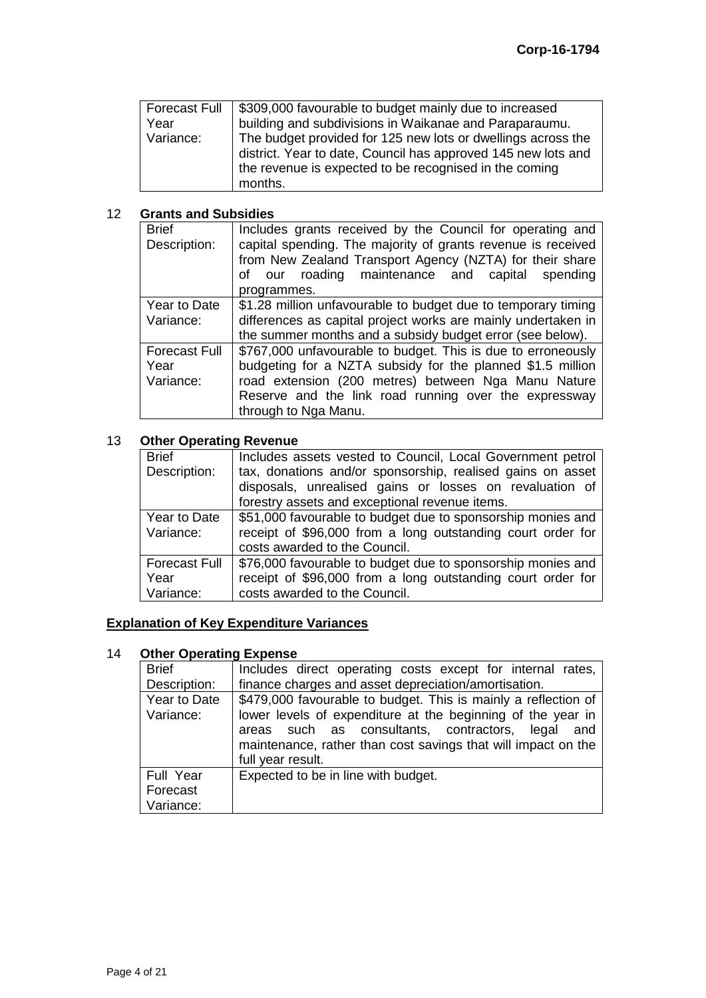| Forecast Full | \$309,000 favourable to budget mainly due to increased        |
|---------------|---------------------------------------------------------------|
| Year          | building and subdivisions in Waikanae and Paraparaumu.        |
| Variance:     | The budget provided for 125 new lots or dwellings across the  |
|               | district. Year to date, Council has approved 145 new lots and |
|               | the revenue is expected to be recognised in the coming        |
|               | months.                                                       |

#### 12 **Grants and Subsidies**

| <b>Brief</b><br>Description:              | Includes grants received by the Council for operating and<br>capital spending. The majority of grants revenue is received<br>from New Zealand Transport Agency (NZTA) for their share<br>of our roading maintenance and capital spending<br>programmes.            |
|-------------------------------------------|--------------------------------------------------------------------------------------------------------------------------------------------------------------------------------------------------------------------------------------------------------------------|
| Year to Date<br>Variance:                 | \$1.28 million unfavourable to budget due to temporary timing<br>differences as capital project works are mainly undertaken in<br>the summer months and a subsidy budget error (see below).                                                                        |
| <b>Forecast Full</b><br>Year<br>Variance: | \$767,000 unfavourable to budget. This is due to erroneously<br>budgeting for a NZTA subsidy for the planned \$1.5 million<br>road extension (200 metres) between Nga Manu Nature<br>Reserve and the link road running over the expressway<br>through to Nga Manu. |

### 13 **Other Operating Revenue**

| <b>Brief</b>         | Includes assets vested to Council, Local Government petrol  |
|----------------------|-------------------------------------------------------------|
| Description:         | tax, donations and/or sponsorship, realised gains on asset  |
|                      | disposals, unrealised gains or losses on revaluation of     |
|                      | forestry assets and exceptional revenue items.              |
| Year to Date         | \$51,000 favourable to budget due to sponsorship monies and |
| Variance:            | receipt of \$96,000 from a long outstanding court order for |
|                      | costs awarded to the Council.                               |
| <b>Forecast Full</b> | \$76,000 favourable to budget due to sponsorship monies and |
| Year                 | receipt of \$96,000 from a long outstanding court order for |
| Variance:            | costs awarded to the Council.                               |

### **Explanation of Key Expenditure Variances**

#### 14 **Other Operating Expense**

| <b>Brief</b> | Includes direct operating costs except for internal rates,     |
|--------------|----------------------------------------------------------------|
| Description: | finance charges and asset depreciation/amortisation.           |
| Year to Date | \$479,000 favourable to budget. This is mainly a reflection of |
| Variance:    | lower levels of expenditure at the beginning of the year in    |
|              | areas such as consultants, contractors, legal<br>and           |
|              | maintenance, rather than cost savings that will impact on the  |
|              | full year result.                                              |
| Full Year    | Expected to be in line with budget.                            |
| Forecast     |                                                                |
| Variance:    |                                                                |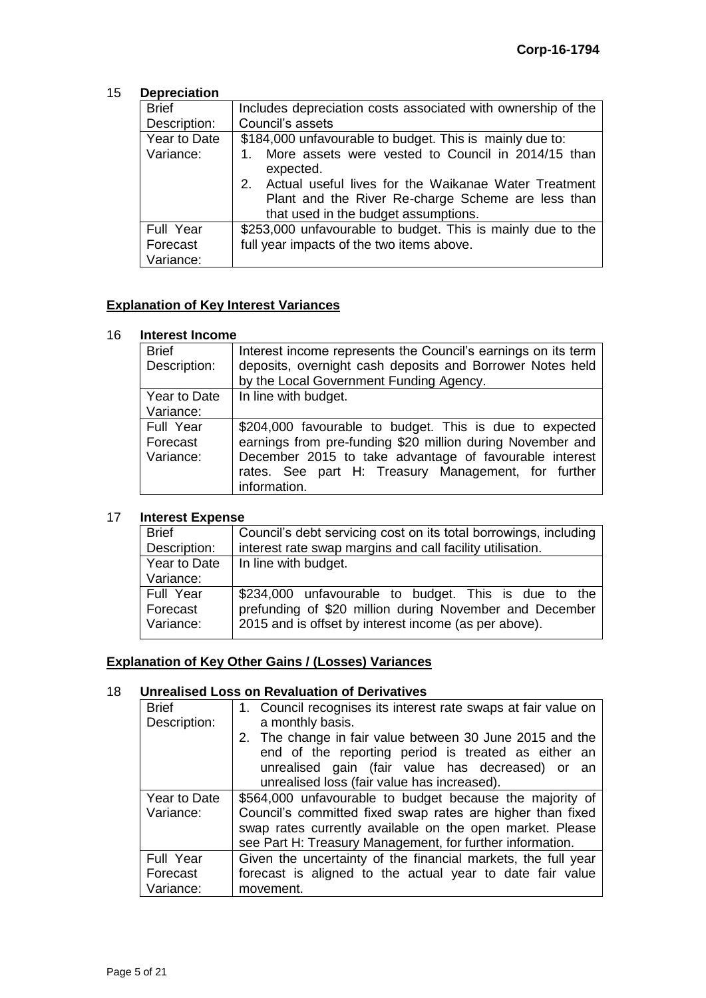#### 15 **Depreciation**

| <b>Brief</b> | Includes depreciation costs associated with ownership of the           |
|--------------|------------------------------------------------------------------------|
| Description: | Council's assets                                                       |
| Year to Date | \$184,000 unfavourable to budget. This is mainly due to:               |
| Variance:    | 1. More assets were vested to Council in 2014/15 than<br>expected.     |
|              | Actual useful lives for the Waikanae Water Treatment<br>2 <sup>1</sup> |
|              | Plant and the River Re-charge Scheme are less than                     |
|              | that used in the budget assumptions.                                   |
| Full Year    | \$253,000 unfavourable to budget. This is mainly due to the            |
| Forecast     | full year impacts of the two items above.                              |
| Variance:    |                                                                        |

### **Explanation of Key Interest Variances**

#### 16 **Interest Income**

| <b>Brief</b> | Interest income represents the Council's earnings on its term |
|--------------|---------------------------------------------------------------|
| Description: | deposits, overnight cash deposits and Borrower Notes held     |
|              | by the Local Government Funding Agency.                       |
| Year to Date | In line with budget.                                          |
| Variance:    |                                                               |
| Full Year    | \$204,000 favourable to budget. This is due to expected       |
| Forecast     | earnings from pre-funding \$20 million during November and    |
| Variance:    | December 2015 to take advantage of favourable interest        |
|              | rates. See part H: Treasury Management, for further           |
|              | information.                                                  |

#### 17 **Interest Expense**

| <b>Brief</b>                       | Council's debt servicing cost on its total borrowings, including                                                                                                         |
|------------------------------------|--------------------------------------------------------------------------------------------------------------------------------------------------------------------------|
| Description:                       | interest rate swap margins and call facility utilisation.                                                                                                                |
| Year to Date                       | In line with budget.                                                                                                                                                     |
| Variance:                          |                                                                                                                                                                          |
| Full Year<br>Forecast<br>Variance: | \$234,000 unfavourable to budget. This is due to the<br>prefunding of \$20 million during November and December<br>2015 and is offset by interest income (as per above). |
|                                    |                                                                                                                                                                          |

### **Explanation of Key Other Gains / (Losses) Variances**

#### 18 **Unrealised Loss on Revaluation of Derivatives**

| <b>Brief</b>              | 1. Council recognises its interest rate swaps at fair value on                                                                                                                                                                                   |  |
|---------------------------|--------------------------------------------------------------------------------------------------------------------------------------------------------------------------------------------------------------------------------------------------|--|
| Description:              | a monthly basis.                                                                                                                                                                                                                                 |  |
|                           | 2. The change in fair value between 30 June 2015 and the<br>end of the reporting period is treated as either an<br>unrealised gain (fair value has decreased) or<br>an<br>unrealised loss (fair value has increased).                            |  |
| Year to Date<br>Variance: | \$564,000 unfavourable to budget because the majority of<br>Council's committed fixed swap rates are higher than fixed<br>swap rates currently available on the open market. Please<br>see Part H: Treasury Management, for further information. |  |
| Full Year                 | Given the uncertainty of the financial markets, the full year                                                                                                                                                                                    |  |
| Forecast                  | forecast is aligned to the actual year to date fair value                                                                                                                                                                                        |  |
| Variance:                 | movement.                                                                                                                                                                                                                                        |  |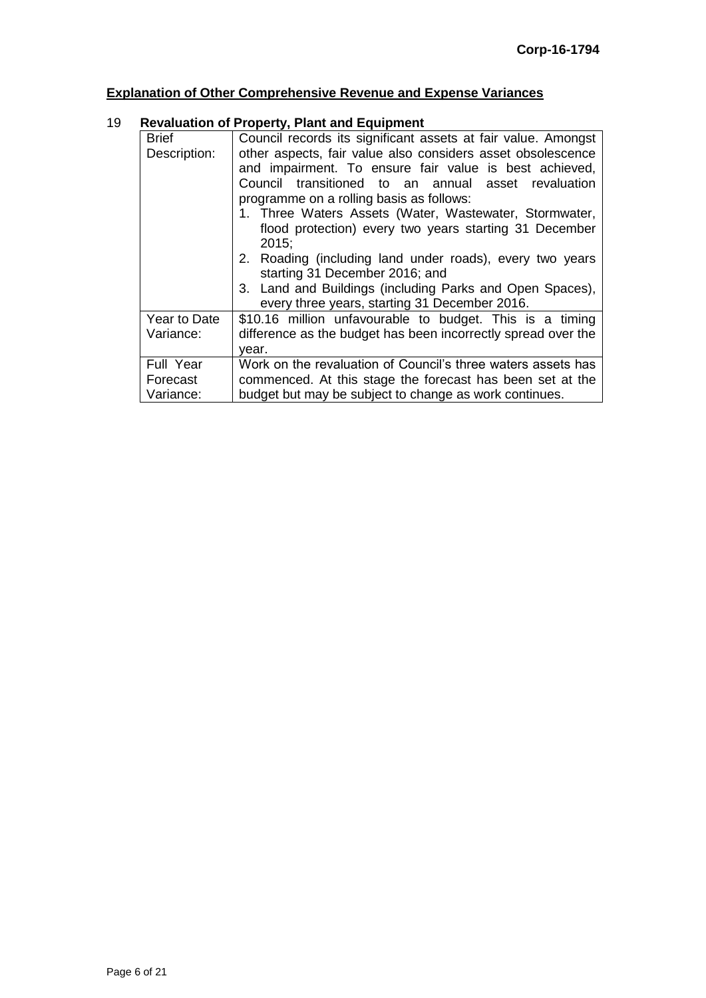# **Explanation of Other Comprehensive Revenue and Expense Variances**

### 19 **Revaluation of Property, Plant and Equipment**

| <b>Brief</b>                       | Council records its significant assets at fair value. Amongst                                                                                                                                                                                                                                                                                         |  |  |  |
|------------------------------------|-------------------------------------------------------------------------------------------------------------------------------------------------------------------------------------------------------------------------------------------------------------------------------------------------------------------------------------------------------|--|--|--|
| Description:                       | other aspects, fair value also considers asset obsolescence<br>and impairment. To ensure fair value is best achieved,<br>Council transitioned to an annual asset revaluation<br>programme on a rolling basis as follows:<br>1. Three Waters Assets (Water, Wastewater, Stormwater,<br>flood protection) every two years starting 31 December<br>2015: |  |  |  |
|                                    | 2. Roading (including land under roads), every two years<br>starting 31 December 2016; and                                                                                                                                                                                                                                                            |  |  |  |
|                                    | 3. Land and Buildings (including Parks and Open Spaces),<br>every three years, starting 31 December 2016.                                                                                                                                                                                                                                             |  |  |  |
| Year to Date<br>Variance:          | \$10.16 million unfavourable to budget. This is a timing<br>difference as the budget has been incorrectly spread over the<br>vear.                                                                                                                                                                                                                    |  |  |  |
| Full Year<br>Forecast<br>Variance: | Work on the revaluation of Council's three waters assets has<br>commenced. At this stage the forecast has been set at the<br>budget but may be subject to change as work continues.                                                                                                                                                                   |  |  |  |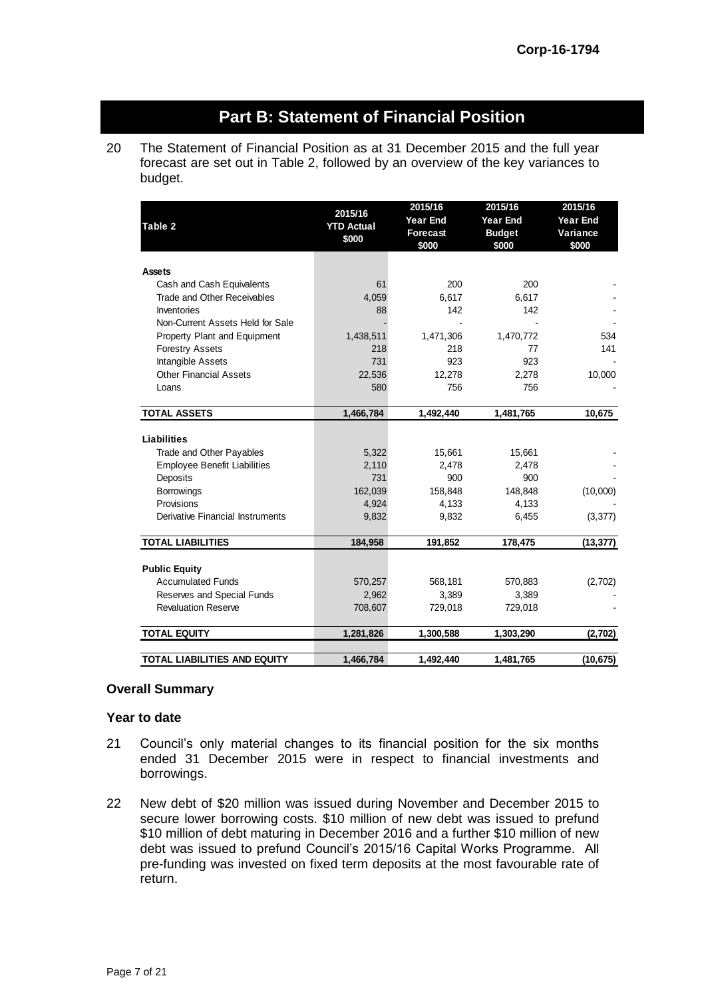# **Part B: Statement of Financial Position**

20 The Statement of Financial Position as at 31 December 2015 and the full year forecast are set out in Table 2, followed by an overview of the key variances to budget.

| Table 2                             | 2015/16<br><b>YTD Actual</b><br>\$000 | 2015/16<br><b>Year End</b><br><b>Forecast</b><br>\$000 | 2015/16<br><b>Year End</b><br><b>Budget</b><br>\$000 | 2015/16<br><b>Year End</b><br>Variance<br>\$000 |
|-------------------------------------|---------------------------------------|--------------------------------------------------------|------------------------------------------------------|-------------------------------------------------|
| Assets                              |                                       |                                                        |                                                      |                                                 |
| Cash and Cash Equivalents           | 61                                    | 200                                                    | 200                                                  |                                                 |
| Trade and Other Receivables         | 4,059                                 | 6,617                                                  | 6,617                                                |                                                 |
| Inventories                         | 88                                    | 142                                                    | 142                                                  |                                                 |
| Non-Current Assets Held for Sale    |                                       |                                                        |                                                      |                                                 |
| Property Plant and Equipment        | 1,438,511                             | 1,471,306                                              | 1,470,772                                            | 534                                             |
| <b>Forestry Assets</b>              | 218                                   | 218                                                    | 77                                                   | 141                                             |
| Intangible Assets                   | 731                                   | 923                                                    | 923                                                  |                                                 |
| <b>Other Financial Assets</b>       | 22,536                                | 12,278                                                 | 2,278                                                | 10,000                                          |
| Loans                               | 580                                   | 756                                                    | 756                                                  |                                                 |
|                                     |                                       |                                                        |                                                      |                                                 |
| <b>TOTAL ASSETS</b>                 | 1,466,784                             | 1,492,440                                              | 1,481,765                                            | 10,675                                          |
|                                     |                                       |                                                        |                                                      |                                                 |
| <b>Liabilities</b>                  |                                       |                                                        |                                                      |                                                 |
| Trade and Other Payables            | 5,322                                 | 15,661                                                 | 15,661                                               |                                                 |
| <b>Employee Benefit Liabilities</b> | 2,110                                 | 2,478                                                  | 2,478                                                |                                                 |
| Deposits                            | 731                                   | 900                                                    | 900                                                  |                                                 |
| <b>Borrowings</b>                   | 162,039                               | 158,848                                                | 148,848                                              | (10,000)                                        |
| Provisions                          | 4,924                                 | 4,133                                                  | 4,133                                                |                                                 |
| Derivative Financial Instruments    | 9,832                                 | 9,832                                                  | 6,455                                                | (3, 377)                                        |
|                                     |                                       |                                                        |                                                      |                                                 |
| <b>TOTAL LIABILITIES</b>            | 184,958                               | 191,852                                                | 178,475                                              | (13, 377)                                       |
|                                     |                                       |                                                        |                                                      |                                                 |
| <b>Public Equity</b>                |                                       |                                                        |                                                      |                                                 |
| <b>Accumulated Funds</b>            | 570,257                               | 568,181                                                | 570,883                                              | (2,702)                                         |
| Reserves and Special Funds          | 2,962                                 | 3,389                                                  | 3,389                                                |                                                 |
| <b>Revaluation Reserve</b>          | 708,607                               | 729,018                                                | 729,018                                              |                                                 |
| <b>TOTAL EQUITY</b>                 | 1,281,826                             | 1,300,588                                              | 1,303,290                                            | (2,702)                                         |
|                                     |                                       |                                                        |                                                      |                                                 |
| TOTAL LIABILITIES AND EQUITY        | 1,466,784                             | 1,492,440                                              | 1,481,765                                            | (10, 675)                                       |

#### **Overall Summary**

#### **Year to date**

- 21 Council's only material changes to its financial position for the six months ended 31 December 2015 were in respect to financial investments and borrowings.
- 22 New debt of \$20 million was issued during November and December 2015 to secure lower borrowing costs. \$10 million of new debt was issued to prefund \$10 million of debt maturing in December 2016 and a further \$10 million of new debt was issued to prefund Council's 2015/16 Capital Works Programme. All pre-funding was invested on fixed term deposits at the most favourable rate of return.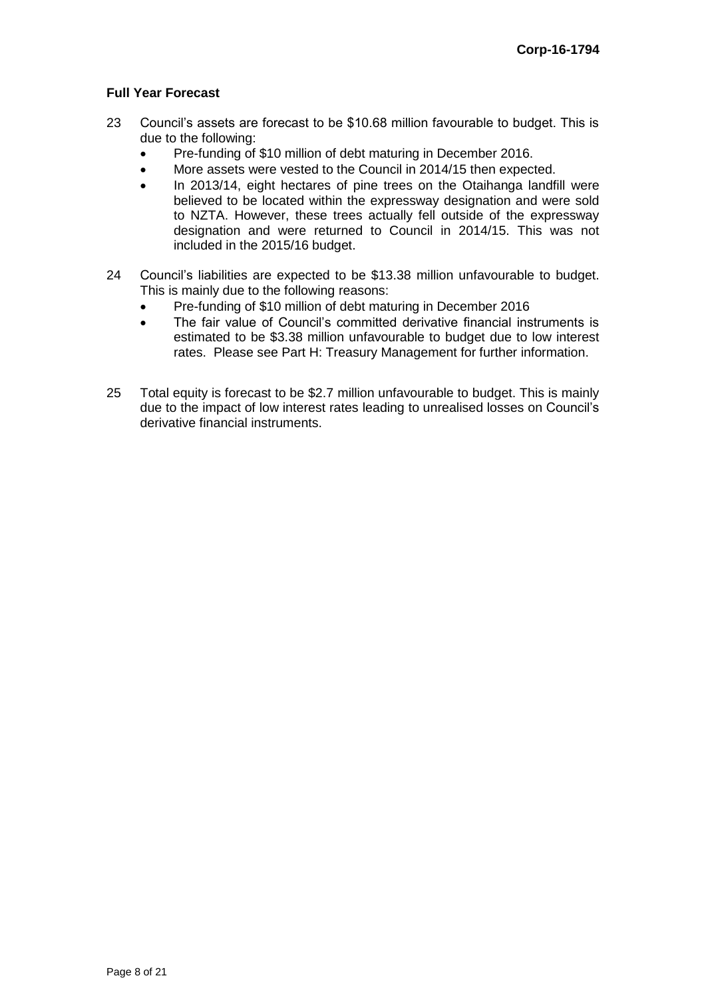#### **Full Year Forecast**

- 23 Council's assets are forecast to be \$10.68 million favourable to budget. This is due to the following:
	- Pre-funding of \$10 million of debt maturing in December 2016.
	- More assets were vested to the Council in 2014/15 then expected.
	- In 2013/14, eight hectares of pine trees on the Otaihanga landfill were believed to be located within the expressway designation and were sold to NZTA. However, these trees actually fell outside of the expressway designation and were returned to Council in 2014/15. This was not included in the 2015/16 budget.
- 24 Council's liabilities are expected to be \$13.38 million unfavourable to budget. This is mainly due to the following reasons:
	- Pre-funding of \$10 million of debt maturing in December 2016
	- The fair value of Council's committed derivative financial instruments is estimated to be \$3.38 million unfavourable to budget due to low interest rates. Please see Part H: Treasury Management for further information.
- 25 Total equity is forecast to be \$2.7 million unfavourable to budget. This is mainly due to the impact of low interest rates leading to unrealised losses on Council's derivative financial instruments.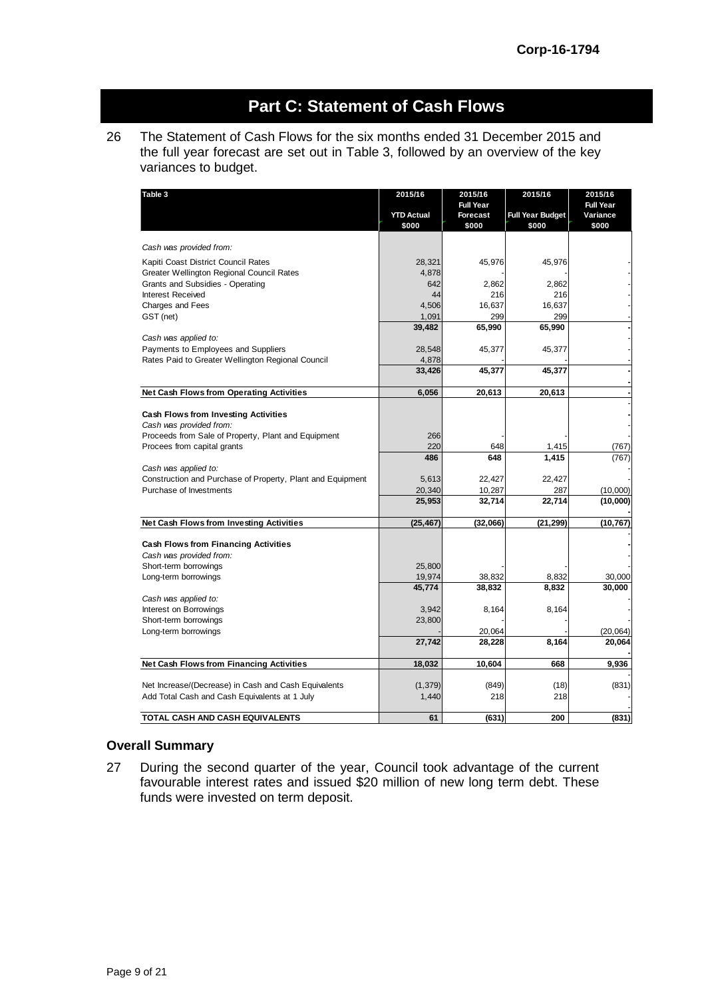# **Part C: Statement of Cash Flows**

26 The Statement of Cash Flows for the six months ended 31 December 2015 and the full year forecast are set out in Table 3, followed by an overview of the key variances to budget.

| Table 3                                                    | 2015/16           | 2015/16          | 2015/16                 | 2015/16   |
|------------------------------------------------------------|-------------------|------------------|-------------------------|-----------|
|                                                            |                   | <b>Full Year</b> |                         | Full Year |
|                                                            | <b>YTD Actual</b> | <b>Forecast</b>  | <b>Full Year Budget</b> | Variance  |
|                                                            | \$000             | \$000            | \$000                   | \$000     |
|                                                            |                   |                  |                         |           |
| Cash was provided from:                                    |                   |                  |                         |           |
| Kapiti Coast District Council Rates                        | 28,321            | 45,976           | 45,976                  |           |
| Greater Wellington Regional Council Rates                  | 4,878             |                  |                         |           |
| Grants and Subsidies - Operating                           | 642               | 2,862            | 2,862                   |           |
| Interest Received                                          | 44                | 216              | 216                     |           |
| <b>Charges and Fees</b>                                    | 4,506             | 16,637           | 16,637                  |           |
| GST (net)                                                  | 1,091             | 299              | 299                     |           |
|                                                            | 39,482            | 65,990           | 65,990                  |           |
| Cash was applied to:                                       |                   |                  |                         |           |
| Payments to Employees and Suppliers                        | 28,548            | 45,377           | 45,377                  |           |
| Rates Paid to Greater Wellington Regional Council          | 4,878             |                  |                         |           |
|                                                            | 33,426            | 45,377           | 45,377                  |           |
|                                                            |                   |                  |                         |           |
| Net Cash Flows from Operating Activities                   | 6,056             | 20,613           | 20,613                  |           |
|                                                            |                   |                  |                         |           |
| <b>Cash Flows from Investing Activities</b>                |                   |                  |                         |           |
| Cash was provided from:                                    |                   |                  |                         |           |
| Proceeds from Sale of Property, Plant and Equipment        | 266               |                  |                         |           |
| Procees from capital grants                                | 220               | 648              | 1,415                   | (767)     |
|                                                            | 486               | 648              | 1,415                   | (767)     |
| Cash was applied to:                                       |                   |                  |                         |           |
| Construction and Purchase of Property, Plant and Equipment | 5,613             | 22,427           | 22,427                  |           |
| Purchase of Investments                                    | 20,340            | 10,287           | 287                     | (10,000)  |
|                                                            | 25,953            | 32,714           | 22,714                  | (10,000)  |
|                                                            |                   |                  |                         |           |
| Net Cash Flows from Investing Activities                   | (25, 467)         | (32,066)         | (21, 299)               | (10, 767) |
|                                                            |                   |                  |                         |           |
| Cash Flows from Financing Activities                       |                   |                  |                         |           |
| Cash was provided from:                                    |                   |                  |                         |           |
| Short-term borrowings                                      | 25,800            |                  |                         |           |
| Long-term borrowings                                       | 19,974            | 38,832           | 8,832                   | 30,000    |
|                                                            | 45,774            | 38,832           | 8,832                   | 30,000    |
| Cash was applied to:                                       |                   |                  |                         |           |
| Interest on Borrowings                                     | 3,942             | 8,164            | 8,164                   |           |
| Short-term borrowings                                      | 23,800            |                  |                         |           |
| Long-term borrowings                                       |                   | 20,064           |                         | (20, 064) |
|                                                            | 27,742            | 28,228           | 8,164                   | 20,064    |
|                                                            |                   |                  |                         |           |
| Net Cash Flows from Financing Activities                   | 18,032            | 10,604           | 668                     | 9.936     |
|                                                            |                   |                  |                         |           |
| Net Increase/(Decrease) in Cash and Cash Equivalents       | (1, 379)          | (849)            | (18)                    | (831)     |
| Add Total Cash and Cash Equivalents at 1 July              | 1,440             | 218              | 218                     |           |
|                                                            |                   |                  |                         |           |
| TOTAL CASH AND CASH EQUIVALENTS                            | 61                | (631)            | 200                     | (831)     |

#### **Overall Summary**

27 During the second quarter of the year, Council took advantage of the current favourable interest rates and issued \$20 million of new long term debt. These funds were invested on term deposit.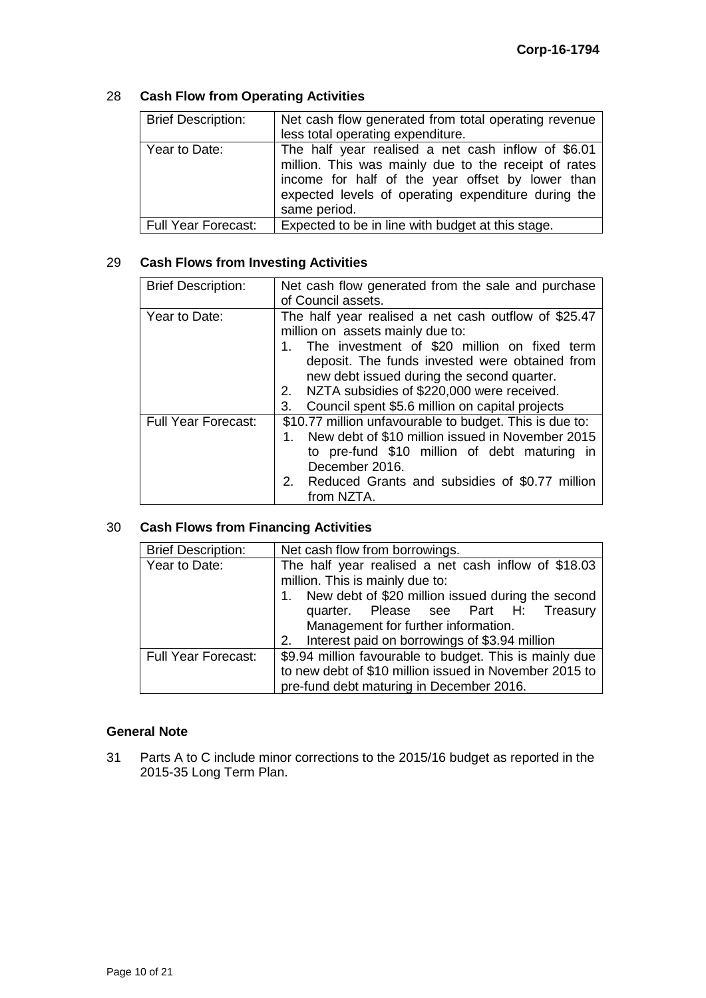### 28 **Cash Flow from Operating Activities**

| <b>Brief Description:</b> | Net cash flow generated from total operating revenue<br>less total operating expenditure.                                                                                                                                             |
|---------------------------|---------------------------------------------------------------------------------------------------------------------------------------------------------------------------------------------------------------------------------------|
| Year to Date:             | The half year realised a net cash inflow of \$6.01<br>million. This was mainly due to the receipt of rates<br>income for half of the year offset by lower than<br>expected levels of operating expenditure during the<br>same period. |
| Full Year Forecast:       | Expected to be in line with budget at this stage.                                                                                                                                                                                     |

#### 29 **Cash Flows from Investing Activities**

| <b>Brief Description:</b>  | Net cash flow generated from the sale and purchase<br>of Council assets.                                                                                                                                                                                                                                                                              |  |  |  |  |
|----------------------------|-------------------------------------------------------------------------------------------------------------------------------------------------------------------------------------------------------------------------------------------------------------------------------------------------------------------------------------------------------|--|--|--|--|
| Year to Date:              | The half year realised a net cash outflow of \$25.47<br>million on assets mainly due to:<br>1. The investment of \$20 million on fixed term<br>deposit. The funds invested were obtained from<br>new debt issued during the second quarter.<br>2. NZTA subsidies of \$220,000 were received.<br>3.<br>Council spent \$5.6 million on capital projects |  |  |  |  |
| <b>Full Year Forecast:</b> | \$10.77 million unfavourable to budget. This is due to:<br>New debt of \$10 million issued in November 2015<br>to pre-fund \$10 million of debt maturing in<br>December 2016.<br>2. Reduced Grants and subsidies of \$0.77 million<br>from NZTA.                                                                                                      |  |  |  |  |

### 30 **Cash Flows from Financing Activities**

| <b>Brief Description:</b>  | Net cash flow from borrowings.                          |
|----------------------------|---------------------------------------------------------|
| Year to Date:              | The half year realised a net cash inflow of \$18.03     |
|                            | million. This is mainly due to:                         |
|                            | 1. New debt of \$20 million issued during the second    |
|                            | quarter. Please see Part H: Treasury                    |
|                            | Management for further information.                     |
|                            | 2. Interest paid on borrowings of \$3.94 million        |
| <b>Full Year Forecast:</b> | \$9.94 million favourable to budget. This is mainly due |
|                            | to new debt of \$10 million issued in November 2015 to  |
|                            | pre-fund debt maturing in December 2016.                |

#### **General Note**

31 Parts A to C include minor corrections to the 2015/16 budget as reported in the 2015-35 Long Term Plan.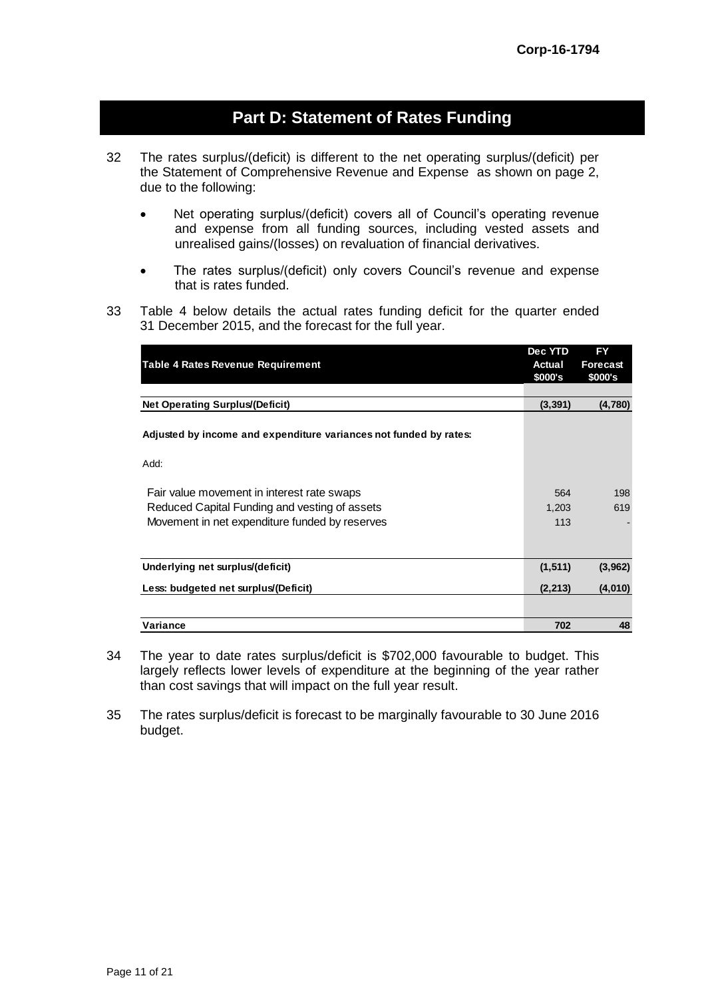## **Part D: Statement of Rates Funding**

- 32 The rates surplus/(deficit) is different to the net operating surplus/(deficit) per the Statement of Comprehensive Revenue and Expense as shown on page 2, due to the following:
	- Net operating surplus/(deficit) covers all of Council's operating revenue and expense from all funding sources, including vested assets and unrealised gains/(losses) on revaluation of financial derivatives.
	- The rates surplus/(deficit) only covers Council's revenue and expense that is rates funded.
- 33 Table 4 below details the actual rates funding deficit for the quarter ended 31 December 2015, and the forecast for the full year.

|                                                                   | Dec YTD  | <b>FY</b> |
|-------------------------------------------------------------------|----------|-----------|
| <b>Table 4 Rates Revenue Requirement</b>                          | Actual   | Forecast  |
|                                                                   | \$000's  | \$000's   |
|                                                                   |          |           |
| <b>Net Operating Surplus/(Deficit)</b>                            | (3, 391) | (4,780)   |
| Adjusted by income and expenditure variances not funded by rates: |          |           |
| Add:                                                              |          |           |
| Fair value movement in interest rate swaps                        | 564      | 198       |
| Reduced Capital Funding and vesting of assets                     | 1,203    | 619       |
| Movement in net expenditure funded by reserves                    | 113      |           |
|                                                                   |          |           |
| Underlying net surplus/(deficit)                                  | (1, 511) | (3,962)   |
|                                                                   |          |           |
| Less: budgeted net surplus/(Deficit)                              | (2, 213) | (4,010)   |
|                                                                   |          |           |
| Variance                                                          | 702      | 48        |

- 34 The year to date rates surplus/deficit is \$702,000 favourable to budget. This largely reflects lower levels of expenditure at the beginning of the year rather than cost savings that will impact on the full year result.
- 35 The rates surplus/deficit is forecast to be marginally favourable to 30 June 2016 budget.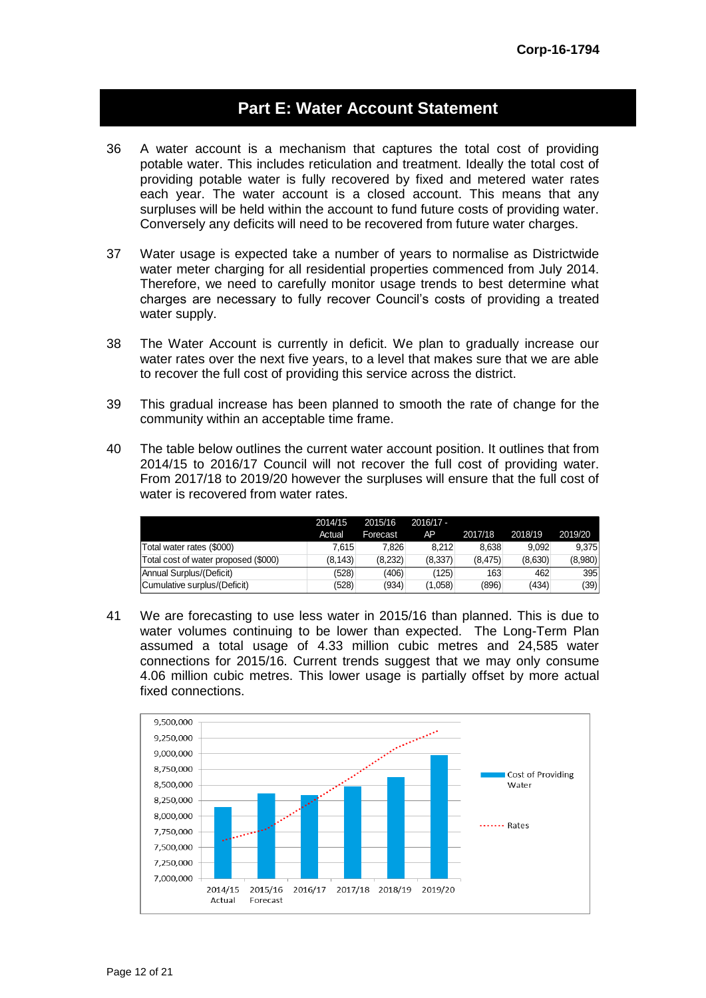## **Part E: Water Account Statement**

- 36 A water account is a mechanism that captures the total cost of providing potable water. This includes reticulation and treatment. Ideally the total cost of providing potable water is fully recovered by fixed and metered water rates each year. The water account is a closed account. This means that any surpluses will be held within the account to fund future costs of providing water. Conversely any deficits will need to be recovered from future water charges.
- 37 Water usage is expected take a number of years to normalise as Districtwide water meter charging for all residential properties commenced from July 2014. Therefore, we need to carefully monitor usage trends to best determine what charges are necessary to fully recover Council's costs of providing a treated water supply.
- 38 The Water Account is currently in deficit. We plan to gradually increase our water rates over the next five years, to a level that makes sure that we are able to recover the full cost of providing this service across the district.
- 39 This gradual increase has been planned to smooth the rate of change for the community within an acceptable time frame.
- 40 The table below outlines the current water account position. It outlines that from 2014/15 to 2016/17 Council will not recover the full cost of providing water. From 2017/18 to 2019/20 however the surpluses will ensure that the full cost of water is recovered from water rates.

|                                      | 2014/15<br>Actual | 2015/16<br>Forecast | $2016/17 -$<br>AP | 2017/18  | 2018/19 | 2019/20 |
|--------------------------------------|-------------------|---------------------|-------------------|----------|---------|---------|
| Total water rates (\$000)            | 7.615             | 7.826               | 8.212             | 8.638    | 9.092   | 9.375   |
| Total cost of water proposed (\$000) | (8.143)           | (8.232)             | (8,337)           | (8, 475) | (8,630) | (8,980) |
| Annual Surplus/(Deficit)             | (528)             | (406)               | (125)             | 163      | 462     | 395     |
| Cumulative surplus/(Deficit)         | (528)             | (934)               | (1,058)           | (896)    | (434)   | (39)    |

41 We are forecasting to use less water in 2015/16 than planned. This is due to water volumes continuing to be lower than expected. The Long-Term Plan assumed a total usage of 4.33 million cubic metres and 24,585 water connections for 2015/16. Current trends suggest that we may only consume 4.06 million cubic metres. This lower usage is partially offset by more actual fixed connections.

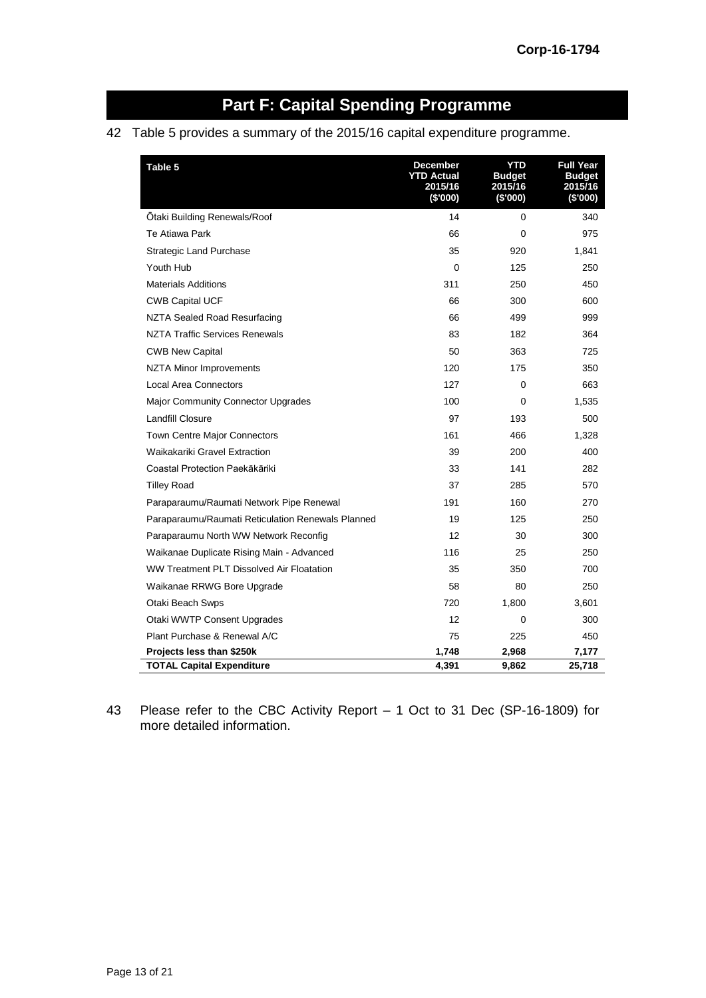# **Part F: Capital Spending Programme**

### 42 Table 5 provides a summary of the 2015/16 capital expenditure programme.

| Table 5                                           | December<br><b>YTD Actual</b><br>2015/16<br>(\$'000) | YTD<br><b>Budget</b><br>2015/16<br>(\$'000) | <b>Full Year</b><br>Budget<br>2015/16<br>(\$'000) |
|---------------------------------------------------|------------------------------------------------------|---------------------------------------------|---------------------------------------------------|
| Otaki Building Renewals/Roof                      | 14                                                   | 0                                           | 340                                               |
| Te Atiawa Park                                    | 66                                                   | $\Omega$                                    | 975                                               |
| <b>Strategic Land Purchase</b>                    | 35                                                   | 920                                         | 1,841                                             |
| Youth Hub                                         | $\Omega$                                             | 125                                         | 250                                               |
| <b>Materials Additions</b>                        | 311                                                  | 250                                         | 450                                               |
| <b>CWB Capital UCF</b>                            | 66                                                   | 300                                         | 600                                               |
| NZTA Sealed Road Resurfacing                      | 66                                                   | 499                                         | 999                                               |
| NZTA Traffic Services Renewals                    | 83                                                   | 182                                         | 364                                               |
| <b>CWB New Capital</b>                            | 50                                                   | 363                                         | 725                                               |
| NZTA Minor Improvements                           | 120                                                  | 175                                         | 350                                               |
| <b>Local Area Connectors</b>                      | 127                                                  | 0                                           | 663                                               |
| <b>Major Community Connector Upgrades</b>         | 100                                                  | $\Omega$                                    | 1,535                                             |
| Landfill Closure                                  | 97                                                   | 193                                         | 500                                               |
| <b>Town Centre Major Connectors</b>               | 161                                                  | 466                                         | 1,328                                             |
| Waikakariki Gravel Extraction                     | 39                                                   | 200                                         | 400                                               |
| Coastal Protection Paekākāriki                    | 33                                                   | 141                                         | 282                                               |
| <b>Tilley Road</b>                                | 37                                                   | 285                                         | 570                                               |
| Paraparaumu/Raumati Network Pipe Renewal          | 191                                                  | 160                                         | 270                                               |
| Paraparaumu/Raumati Reticulation Renewals Planned | 19                                                   | 125                                         | 250                                               |
| Paraparaumu North WW Network Reconfig             | 12                                                   | 30                                          | 300                                               |
| Waikanae Duplicate Rising Main - Advanced         | 116                                                  | 25                                          | 250                                               |
| WW Treatment PLT Dissolved Air Floatation         | 35                                                   | 350                                         | 700                                               |
| Waikanae RRWG Bore Upgrade                        | 58                                                   | 80                                          | 250                                               |
| Otaki Beach Swps                                  | 720                                                  | 1,800                                       | 3,601                                             |
| Otaki WWTP Consent Upgrades                       | 12                                                   | $\Omega$                                    | 300                                               |
| Plant Purchase & Renewal A/C                      | 75                                                   | 225                                         | 450                                               |
| Projects less than \$250k                         | 1,748                                                | 2,968                                       | 7,177                                             |
| <b>TOTAL Capital Expenditure</b>                  | 4,391                                                | 9,862                                       | 25,718                                            |

43 Please refer to the CBC Activity Report – 1 Oct to 31 Dec (SP-16-1809) for more detailed information.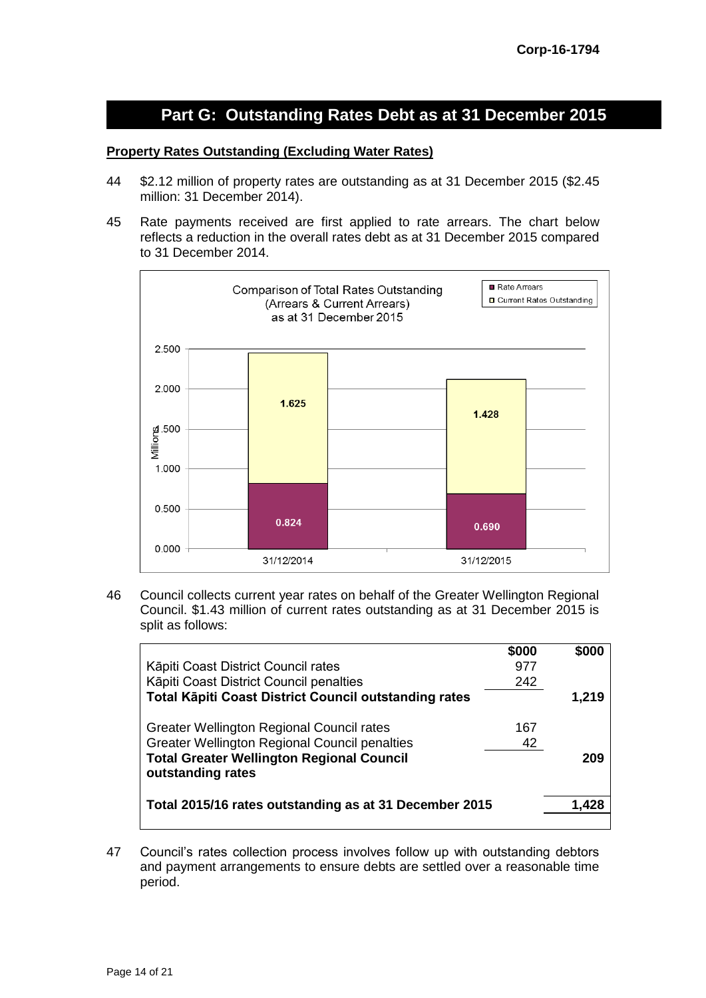# **Part G: Outstanding Rates Debt as at 31 December 2015**

#### **Property Rates Outstanding (Excluding Water Rates)**

- 44 \$2.12 million of property rates are outstanding as at 31 December 2015 (\$2.45 million: 31 December 2014).
- 45 Rate payments received are first applied to rate arrears. The chart below reflects a reduction in the overall rates debt as at 31 December 2015 compared to 31 December 2014.



46 Council collects current year rates on behalf of the Greater Wellington Regional Council. \$1.43 million of current rates outstanding as at 31 December 2015 is split as follows:

|                                                              | \$000 | \$000 |
|--------------------------------------------------------------|-------|-------|
| Kāpiti Coast District Council rates                          | 977   |       |
| Kāpiti Coast District Council penalties                      | 242   |       |
| <b>Total Käpiti Coast District Council outstanding rates</b> |       | 1,219 |
| Greater Wellington Regional Council rates                    | 167   |       |
| <b>Greater Wellington Regional Council penalties</b>         | 42    |       |
| <b>Total Greater Wellington Regional Council</b>             |       | 209   |
| outstanding rates                                            |       |       |
| Total 2015/16 rates outstanding as at 31 December 2015       |       | 1.428 |

47 Council's rates collection process involves follow up with outstanding debtors and payment arrangements to ensure debts are settled over a reasonable time period.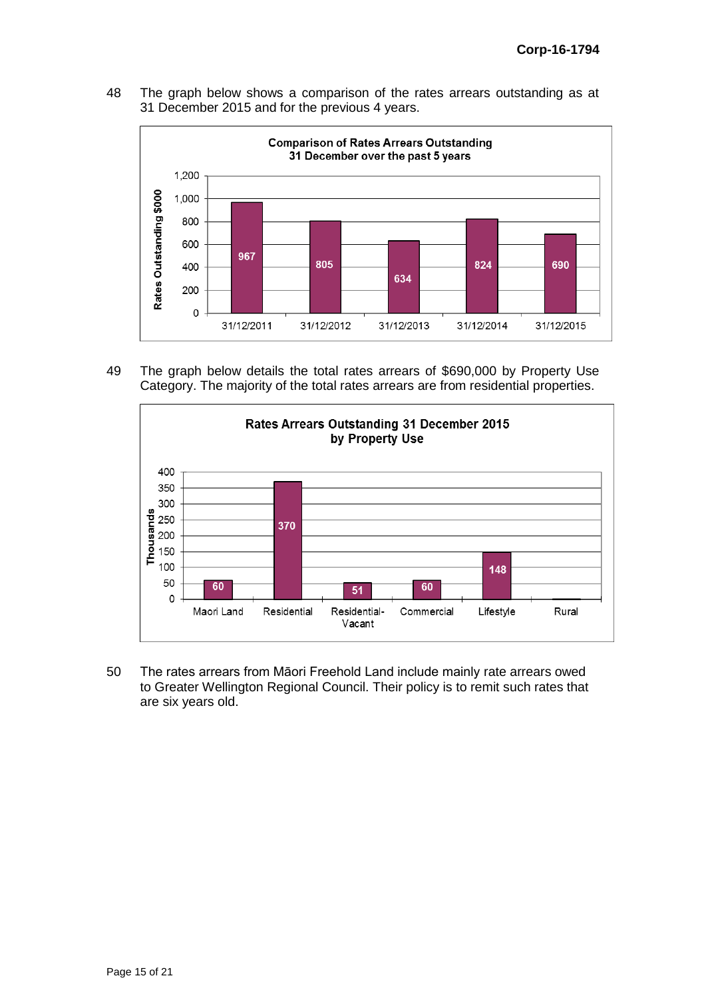48 The graph below shows a comparison of the rates arrears outstanding as at 31 December 2015 and for the previous 4 years.



49 The graph below details the total rates arrears of \$690,000 by Property Use Category. The majority of the total rates arrears are from residential properties.



50 The rates arrears from Māori Freehold Land include mainly rate arrears owed to Greater Wellington Regional Council. Their policy is to remit such rates that are six years old.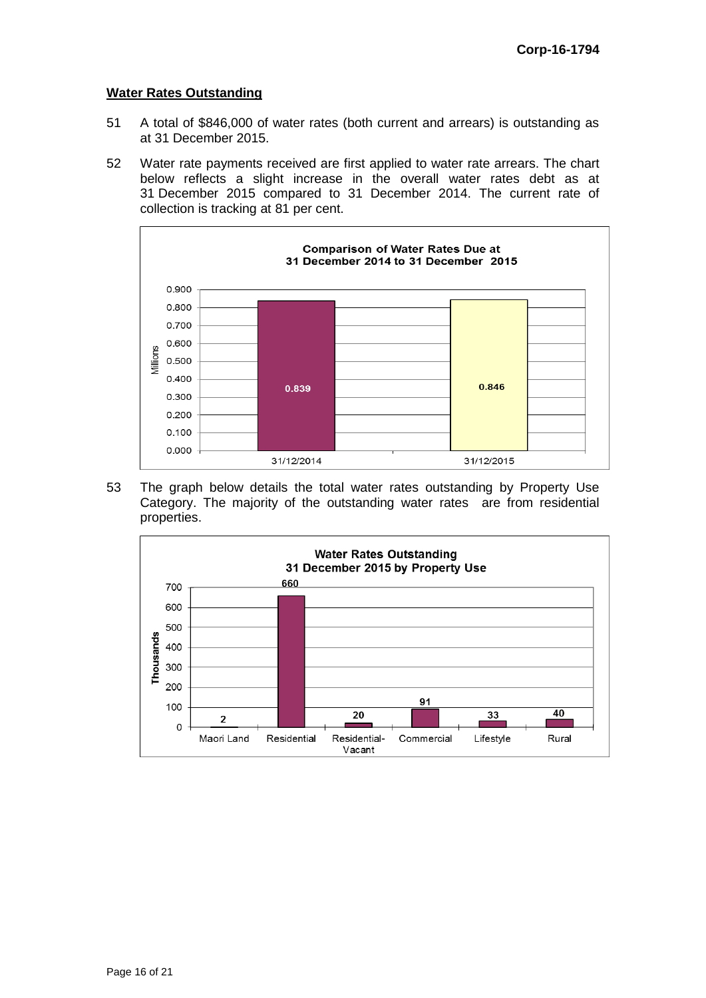#### **Water Rates Outstanding**

- 51 A total of \$846,000 of water rates (both current and arrears) is outstanding as at 31 December 2015.
- 52 Water rate payments received are first applied to water rate arrears. The chart below reflects a slight increase in the overall water rates debt as at 31 December 2015 compared to 31 December 2014. The current rate of collection is tracking at 81 per cent.



53 The graph below details the total water rates outstanding by Property Use Category. The majority of the outstanding water rates are from residential properties.

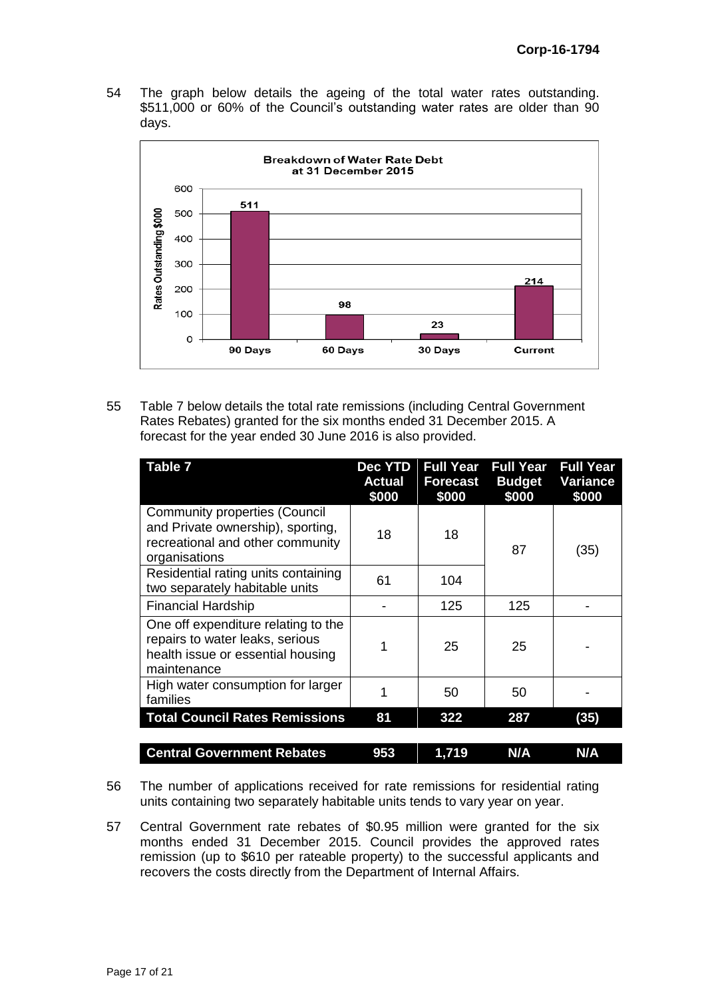54 The graph below details the ageing of the total water rates outstanding. \$511,000 or 60% of the Council's outstanding water rates are older than 90 days.



55 Table 7 below details the total rate remissions (including Central Government Rates Rebates) granted for the six months ended 31 December 2015. A forecast for the year ended 30 June 2016 is also provided.

| Table 7                                                                                                                        | Dec YTD<br><b>Actual</b><br>\$000 | <b>Full Year</b><br><b>Forecast</b><br>\$000 | <b>Full Year</b><br><b>Budget</b><br>\$000 | <b>Full Year</b><br><b>Variance</b><br>\$000 |
|--------------------------------------------------------------------------------------------------------------------------------|-----------------------------------|----------------------------------------------|--------------------------------------------|----------------------------------------------|
| <b>Community properties (Council</b><br>and Private ownership), sporting,<br>recreational and other community<br>organisations | 18                                | 18                                           | 87                                         | (35)                                         |
| Residential rating units containing<br>two separately habitable units                                                          | 61                                | 104                                          |                                            |                                              |
| <b>Financial Hardship</b>                                                                                                      |                                   | 125                                          | 125                                        |                                              |
| One off expenditure relating to the<br>repairs to water leaks, serious<br>health issue or essential housing<br>maintenance     |                                   | 25                                           | 25                                         |                                              |
| High water consumption for larger<br>families                                                                                  |                                   | 50                                           | 50                                         |                                              |
| <b>Total Council Rates Remissions</b>                                                                                          | 81                                | 322                                          | 287                                        | (35)                                         |
| <b>Central Government Rebates</b>                                                                                              | 953                               | 1,719                                        | N/A                                        | N/A                                          |

- 56 The number of applications received for rate remissions for residential rating units containing two separately habitable units tends to vary year on year.
- 57 Central Government rate rebates of \$0.95 million were granted for the six months ended 31 December 2015. Council provides the approved rates remission (up to \$610 per rateable property) to the successful applicants and recovers the costs directly from the Department of Internal Affairs.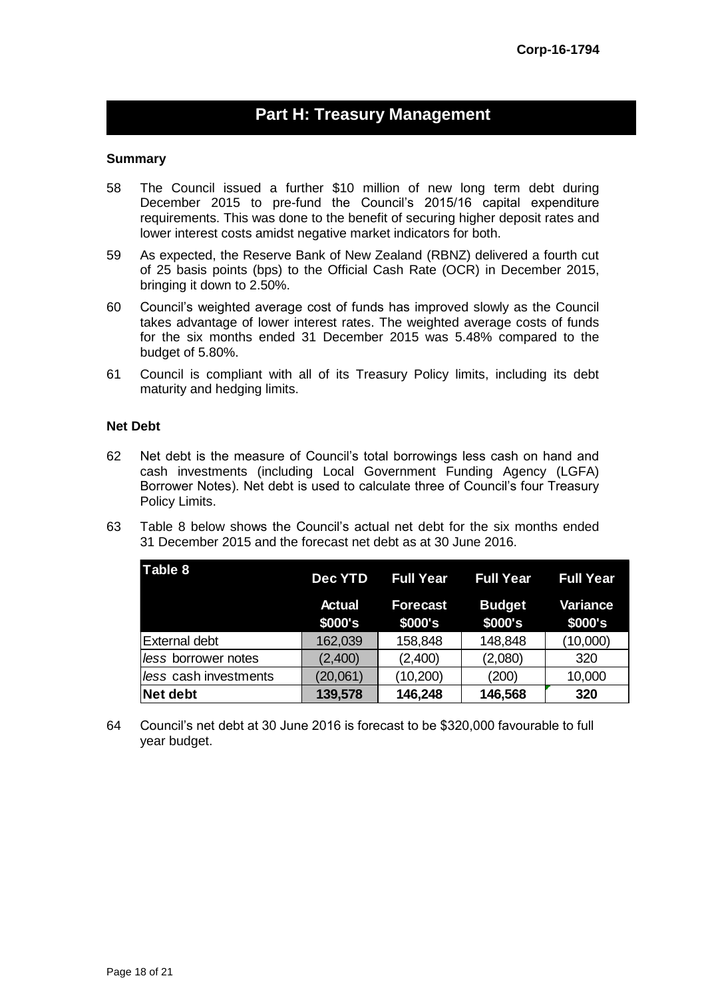## **Part H: Treasury Management**

#### **Summary**

- 58 The Council issued a further \$10 million of new long term debt during December 2015 to pre-fund the Council's 2015/16 capital expenditure requirements. This was done to the benefit of securing higher deposit rates and lower interest costs amidst negative market indicators for both.
- 59 As expected, the Reserve Bank of New Zealand (RBNZ) delivered a fourth cut of 25 basis points (bps) to the Official Cash Rate (OCR) in December 2015, bringing it down to 2.50%.
- 60 Council's weighted average cost of funds has improved slowly as the Council takes advantage of lower interest rates. The weighted average costs of funds for the six months ended 31 December 2015 was 5.48% compared to the budget of 5.80%.
- 61 Council is compliant with all of its Treasury Policy limits, including its debt maturity and hedging limits.

#### **Net Debt**

- 62 Net debt is the measure of Council's total borrowings less cash on hand and cash investments (including Local Government Funding Agency (LGFA) Borrower Notes). Net debt is used to calculate three of Council's four Treasury Policy Limits.
- 63 Table 8 below shows the Council's actual net debt for the six months ended 31 December 2015 and the forecast net debt as at 30 June 2016.

| Table 8               | <b>Dec YTD</b>           | <b>Full Year</b>           | <b>Full Year</b>         | <b>Full Year</b>           |
|-----------------------|--------------------------|----------------------------|--------------------------|----------------------------|
|                       | <b>Actual</b><br>\$000's | <b>Forecast</b><br>\$000's | <b>Budget</b><br>\$000's | <b>Variance</b><br>\$000's |
| <b>External debt</b>  | 162,039                  | 158,848                    | 148,848                  | (10,000)                   |
| less borrower notes   | (2,400)                  | (2,400)                    | (2,080)                  | 320                        |
| less cash investments | (20,061)                 | (10, 200)                  | (200)                    | 10,000                     |
| Net debt              | 139,578                  | 146,248                    | 146,568                  | 320                        |

64 Council's net debt at 30 June 2016 is forecast to be \$320,000 favourable to full year budget.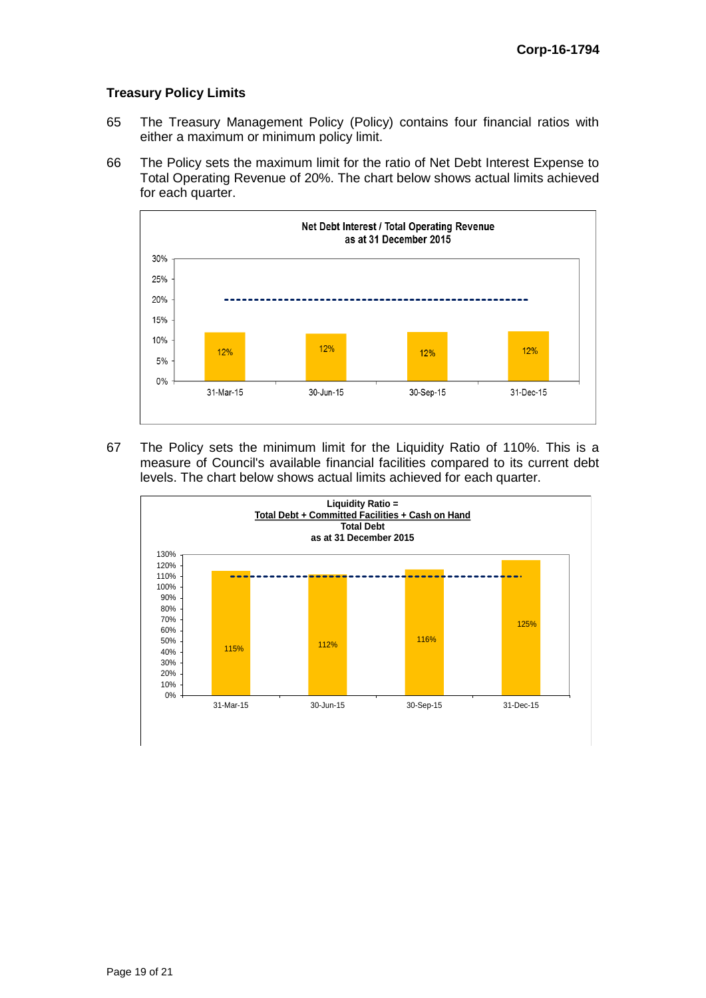#### **Treasury Policy Limits**

- 65 The Treasury Management Policy (Policy) contains four financial ratios with either a maximum or minimum policy limit.
- 66 The Policy sets the maximum limit for the ratio of Net Debt Interest Expense to Total Operating Revenue of 20%. The chart below shows actual limits achieved for each quarter.



67 The Policy sets the minimum limit for the Liquidity Ratio of 110%. This is a measure of Council's available financial facilities compared to its current debt levels. The chart below shows actual limits achieved for each quarter.

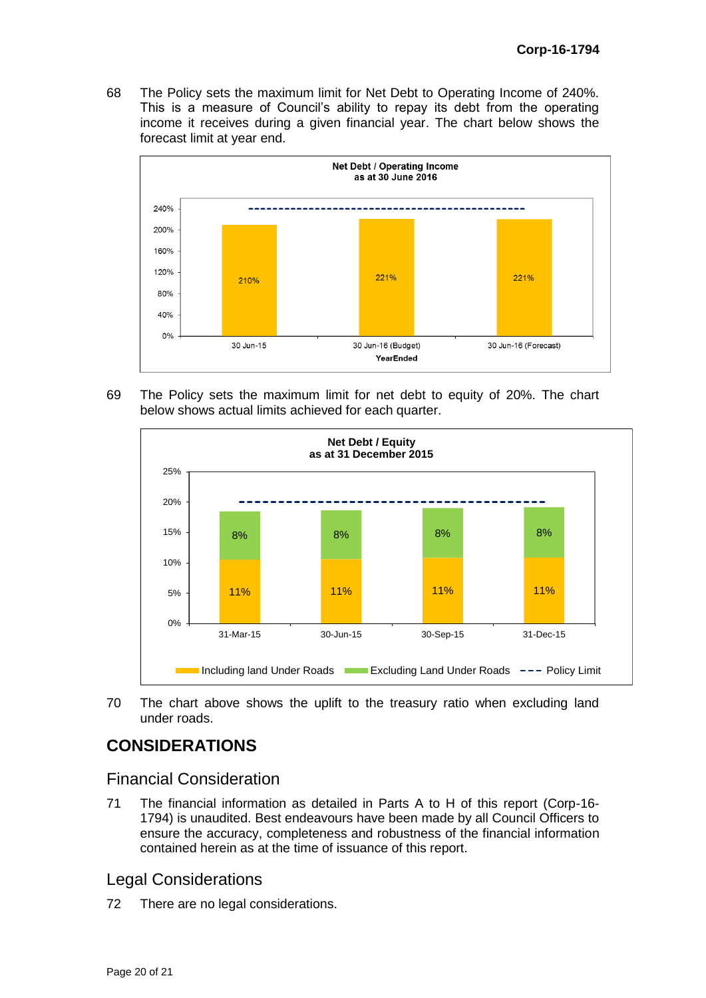68 The Policy sets the maximum limit for Net Debt to Operating Income of 240%. This is a measure of Council's ability to repay its debt from the operating income it receives during a given financial year. The chart below shows the forecast limit at year end.



69 The Policy sets the maximum limit for net debt to equity of 20%. The chart below shows actual limits achieved for each quarter.



70 The chart above shows the uplift to the treasury ratio when excluding land under roads.

# **CONSIDERATIONS**

## Financial Consideration

71 The financial information as detailed in Parts A to H of this report (Corp-16- 1794) is unaudited. Best endeavours have been made by all Council Officers to ensure the accuracy, completeness and robustness of the financial information contained herein as at the time of issuance of this report.

## Legal Considerations

72 There are no legal considerations.